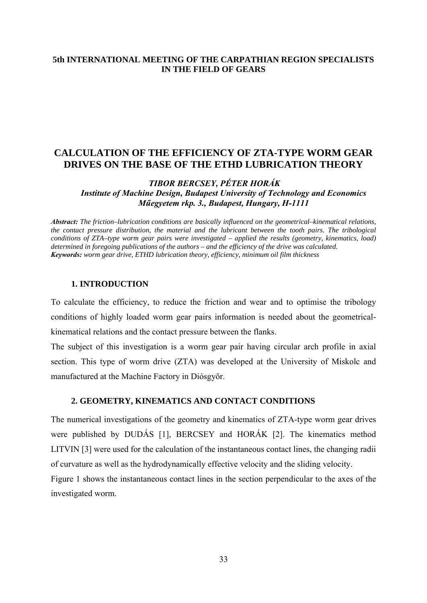## **5th INTERNATIONAL MEETING OF THE CARPATHIAN REGION SPECIALISTS IN THE FIELD OF GEARS**

# **CALCULATION OF THE EFFICIENCY OF ZTA-TYPE WORM GEAR DRIVES ON THE BASE OF THE ETHD LUBRICATION THEORY**

 *TIBOR BERCSEY, PÉTER HORÁK Institute of Machine Design, Budapest University of Technology and Economics Műegyetem rkp. 3., Budapest, Hungary, H-1111* 

*Abstract: The friction–lubrication conditions are basically influenced on the geometrical–kinematical relations, the contact pressure distribution, the material and the lubricant between the tooth pairs. The tribological conditions of ZTA–type worm gear pairs were investigated – applied the results (geometry, kinematics, load) determined in foregoing publications of the authors – and the efficiency of the drive was calculated. Keywords: worm gear drive, ETHD lubrication theory, efficiency, minimum oil film thickness*

#### **1. INTRODUCTION**

To calculate the efficiency, to reduce the friction and wear and to optimise the tribology conditions of highly loaded worm gear pairs information is needed about the geometricalkinematical relations and the contact pressure between the flanks.

The subject of this investigation is a worm gear pair having circular arch profile in axial section. This type of worm drive (ZTA) was developed at the University of Miskolc and manufactured at the Machine Factory in Diósgyőr.

## **2. GEOMETRY, KINEMATICS AND CONTACT CONDITIONS**

The numerical investigations of the geometry and kinematics of ZTA-type worm gear drives were published by DUDÁS [1], BERCSEY and HORÁK [2]. The kinematics method LITVIN [3] were used for the calculation of the instantaneous contact lines, the changing radii of curvature as well as the hydrodynamically effective velocity and the sliding velocity.

Figure 1 shows the instantaneous contact lines in the section perpendicular to the axes of the investigated worm.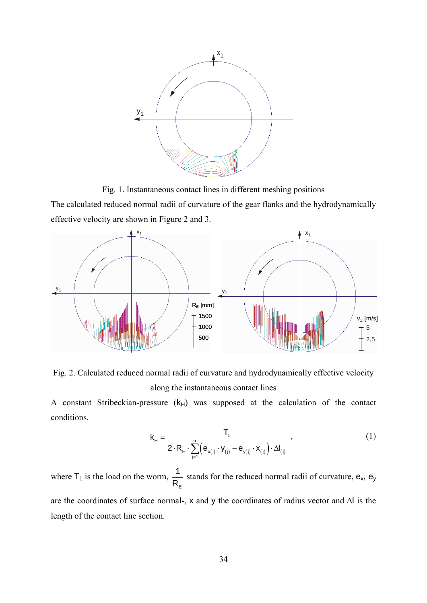

Fig. 1. Instantaneous contact lines in different meshing positions The calculated reduced normal radii of curvature of the gear flanks and the hydrodynamically

effective velocity are shown in Figure 2 and 3.



Fig. 2. Calculated reduced normal radii of curvature and hydrodynamically effective velocity along the instantaneous contact lines

A constant Stribeckian-pressure  $(k_H)$  was supposed at the calculation of the contact conditions.

$$
\mathbf{k}_{H} = \frac{\mathbf{T}_{1}}{2 \cdot \mathbf{R}_{E} \cdot \sum_{j=1}^{n} \left( \mathbf{e}_{\mathbf{x}(j)} \cdot \mathbf{y}_{(j)} - \mathbf{e}_{\mathbf{y}(j)} \cdot \mathbf{x}_{(j)} \right) \cdot \Delta \mathbf{l}_{(j)}} ,
$$
 (1)

where  $T_1$  is the load on the worm, E 1 R stands for the reduced normal radii of curvature,  $e_x$ ,  $e_y$ are the coordinates of surface normal-, x and y the coordinates of radius vector and Δl is the length of the contact line section.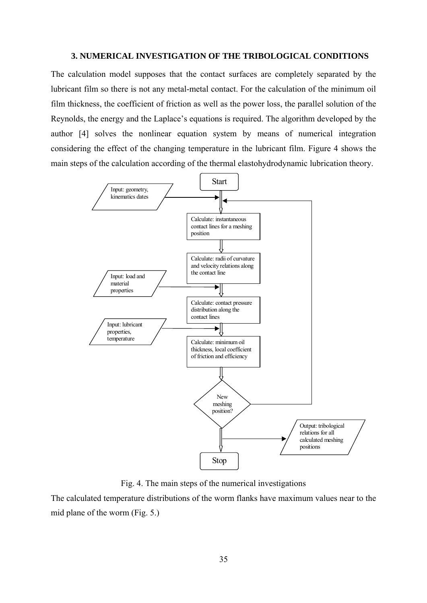## **3. NUMERICAL INVESTIGATION OF THE TRIBOLOGICAL CONDITIONS**

The calculation model supposes that the contact surfaces are completely separated by the lubricant film so there is not any metal-metal contact. For the calculation of the minimum oil film thickness, the coefficient of friction as well as the power loss, the parallel solution of the Reynolds, the energy and the Laplace's equations is required. The algorithm developed by the author [4] solves the nonlinear equation system by means of numerical integration considering the effect of the changing temperature in the lubricant film. Figure 4 shows the main steps of the calculation according of the thermal elastohydrodynamic lubrication theory.



Fig. 4. The main steps of the numerical investigations

The calculated temperature distributions of the worm flanks have maximum values near to the mid plane of the worm (Fig. 5.)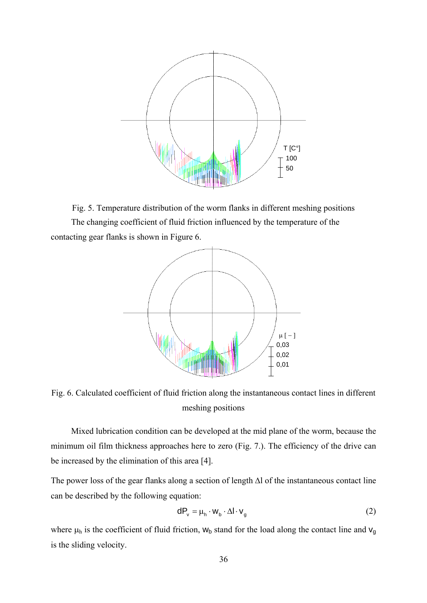

Fig. 5. Temperature distribution of the worm flanks in different meshing positions The changing coefficient of fluid friction influenced by the temperature of the contacting gear flanks is shown in Figure 6.



Fig. 6. Calculated coefficient of fluid friction along the instantaneous contact lines in different meshing positions

Mixed lubrication condition can be developed at the mid plane of the worm, because the minimum oil film thickness approaches here to zero (Fig. 7.). The efficiency of the drive can be increased by the elimination of this area [4].

The power loss of the gear flanks along a section of length Δl of the instantaneous contact line can be described by the following equation:

$$
dP_v = \mu_h \cdot w_b \cdot \Delta l \cdot v_g \tag{2}
$$

where  $\mu_h$  is the coefficient of fluid friction,  $w_b$  stand for the load along the contact line and  $v_g$ is the sliding velocity.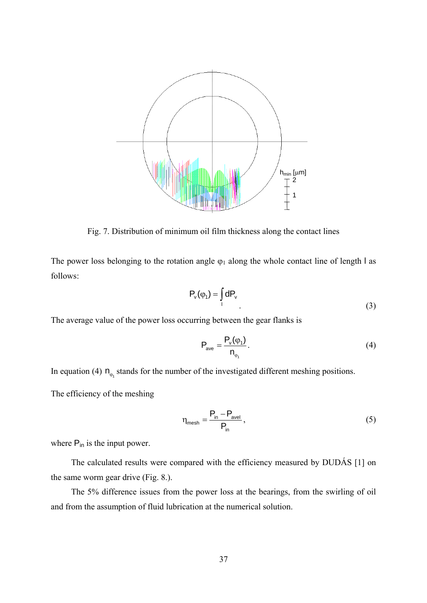

Fig. 7. Distribution of minimum oil film thickness along the contact lines

The power loss belonging to the rotation angle  $\varphi_1$  along the whole contact line of length l as follows:

$$
P_v(\varphi_1) = \int_{1} dP_v
$$
 (3)

The average value of the power loss occurring between the gear flanks is

$$
P_{\text{ave}} = \frac{P_v(\varphi_1)}{n_{\varphi_1}}.\tag{4}
$$

In equation (4)  $n_{\varphi_1}$  stands for the number of the investigated different meshing positions.

The efficiency of the meshing

$$
\eta_{\text{mesh}} = \frac{P_{\text{in}} - P_{\text{avel}}}{P_{\text{in}}},\tag{5}
$$

where  $P_{in}$  is the input power.

The calculated results were compared with the efficiency measured by DUDÁS [1] on the same worm gear drive (Fig. 8.).

The 5% difference issues from the power loss at the bearings, from the swirling of oil and from the assumption of fluid lubrication at the numerical solution.